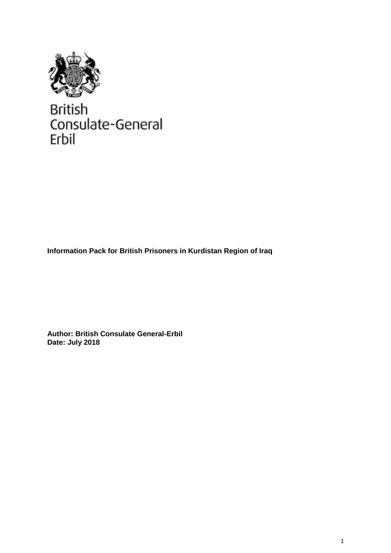

**British** Consulate-General Erbil

**Information Pack for British Prisoners in Kurdistan Region of Iraq**

**Author: British Consulate General-Erbil Date: July 2018**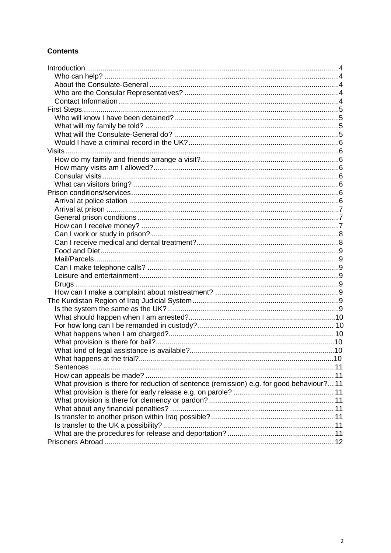## **Contents**

| What provision is there for reduction of sentence (remission) e.g. for good behaviour?11 |  |
|------------------------------------------------------------------------------------------|--|
|                                                                                          |  |
|                                                                                          |  |
|                                                                                          |  |
|                                                                                          |  |
|                                                                                          |  |
|                                                                                          |  |
|                                                                                          |  |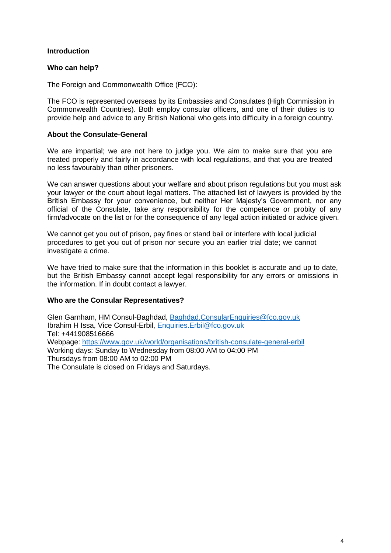## **Introduction**

## **Who can help?**

The Foreign and Commonwealth Office (FCO):

The FCO is represented overseas by its Embassies and Consulates (High Commission in Commonwealth Countries). Both employ consular officers, and one of their duties is to provide help and advice to any British National who gets into difficulty in a foreign country.

## **About the Consulate-General**

We are impartial; we are not here to judge you. We aim to make sure that you are treated properly and fairly in accordance with local regulations, and that you are treated no less favourably than other prisoners.

We can answer questions about your welfare and about prison regulations but you must ask your lawyer or the court about legal matters. The attached list of lawyers is provided by the British Embassy for your convenience, but neither Her Majesty's Government, nor any official of the Consulate, take any responsibility for the competence or probity of any firm/advocate on the list or for the consequence of any legal action initiated or advice given.

We cannot get you out of prison, pay fines or stand bail or interfere with local judicial procedures to get you out of prison nor secure you an earlier trial date; we cannot investigate a crime.

We have tried to make sure that the information in this booklet is accurate and up to date, but the British Embassy cannot accept legal responsibility for any errors or omissions in the information. If in doubt contact a lawyer.

## **Who are the Consular Representatives?**

Glen Garnham, HM Consul-Baghdad, [Baghdad.ConsularEnquiries@fco.gov.uk](mailto:Baghdad.ConsularEnquiries@fco.gov.uk) Ibrahim H Issa, Vice Consul-Erbil, [Enquiries.Erbil@fco.gov.uk](mailto:Enquiries.Erbil@fco.gov.uk) Tel: +441908516666 Webpage:<https://www.gov.uk/world/organisations/british-consulate-general-erbil> Working days: Sunday to Wednesday from 08:00 AM to 04:00 PM Thursdays from 08:00 AM to 02:00 PM

The Consulate is closed on Fridays and Saturdays.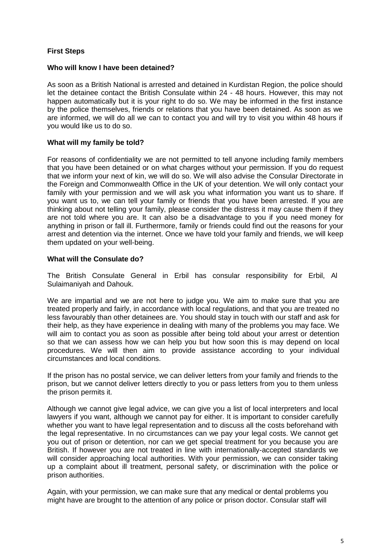## **First Steps**

## **Who will know I have been detained?**

As soon as a British National is arrested and detained in Kurdistan Region, the police should let the detainee contact the British Consulate within 24 - 48 hours. However, this may not happen automatically but it is your right to do so. We may be informed in the first instance by the police themselves, friends or relations that you have been detained. As soon as we are informed, we will do all we can to contact you and will try to visit you within 48 hours if you would like us to do so.

## **What will my family be told?**

For reasons of confidentiality we are not permitted to tell anyone including family members that you have been detained or on what charges without your permission. If you do request that we inform your next of kin, we will do so. We will also advise the Consular Directorate in the Foreign and Commonwealth Office in the UK of your detention. We will only contact your family with your permission and we will ask you what information you want us to share. If you want us to, we can tell your family or friends that you have been arrested. If you are thinking about not telling your family, please consider the distress it may cause them if they are not told where you are. It can also be a disadvantage to you if you need money for anything in prison or fall ill. Furthermore, family or friends could find out the reasons for your arrest and detention via the internet. Once we have told your family and friends, we will keep them updated on your well-being.

#### **What will the Consulate do?**

The British Consulate General in Erbil has consular responsibility for Erbil, Al Sulaimaniyah and Dahouk.

We are impartial and we are not here to judge you. We aim to make sure that you are treated properly and fairly, in accordance with local regulations, and that you are treated no less favourably than other detainees are. You should stay in touch with our staff and ask for their help, as they have experience in dealing with many of the problems you may face. We will aim to contact you as soon as possible after being told about your arrest or detention so that we can assess how we can help you but how soon this is may depend on local procedures. We will then aim to provide assistance according to your individual circumstances and local conditions.

If the prison has no postal service, we can deliver letters from your family and friends to the prison, but we cannot deliver letters directly to you or pass letters from you to them unless the prison permits it.

Although we cannot give legal advice, we can give you a list of local interpreters and local lawyers if you want, although we cannot pay for either. It is important to consider carefully whether you want to have legal representation and to discuss all the costs beforehand with the legal representative. In no circumstances can we pay your legal costs. We cannot get you out of prison or detention, nor can we get special treatment for you because you are British. If however you are not treated in line with internationally-accepted standards we will consider approaching local authorities. With your permission, we can consider taking up a complaint about ill treatment, personal safety, or discrimination with the police or prison authorities.

Again, with your permission, we can make sure that any medical or dental problems you might have are brought to the attention of any police or prison doctor. Consular staff will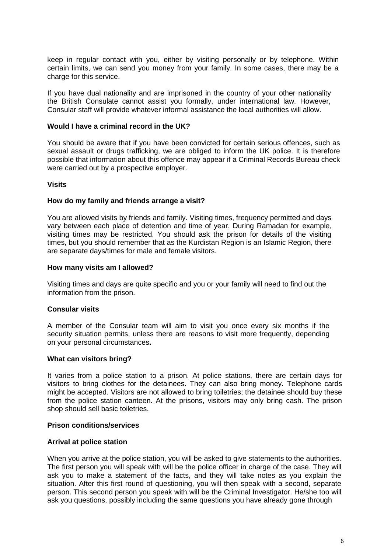keep in regular contact with you, either by visiting personally or by telephone. Within certain limits, we can send you money from your family. In some cases, there may be a charge for this service.

If you have dual nationality and are imprisoned in the country of your other nationality the British Consulate cannot assist you formally, under international law. However, Consular staff will provide whatever informal assistance the local authorities will allow.

## **Would I have a criminal record in the UK?**

You should be aware that if you have been convicted for certain serious offences, such as sexual assault or drugs trafficking, we are obliged to inform the UK police. It is therefore possible that information about this offence may appear if a Criminal Records Bureau check were carried out by a prospective employer.

#### **Visits**

#### **How do my family and friends arrange a visit?**

You are allowed visits by friends and family. Visiting times, frequency permitted and days vary between each place of detention and time of year. During Ramadan for example, visiting times may be restricted. You should ask the prison for details of the visiting times, but you should remember that as the Kurdistan Region is an Islamic Region, there are separate days/times for male and female visitors.

#### **How many visits am I allowed?**

Visiting times and days are quite specific and you or your family will need to find out the information from the prison.

## **Consular visits**

A member of the Consular team will aim to visit you once every six months if the security situation permits, unless there are reasons to visit more frequently, depending on your personal circumstances**.**

#### **What can visitors bring?**

It varies from a police station to a prison. At police stations, there are certain days for visitors to bring clothes for the detainees. They can also bring money. Telephone cards might be accepted. Visitors are not allowed to bring toiletries; the detainee should buy these from the police station canteen. At the prisons, visitors may only bring cash. The prison shop should sell basic toiletries.

#### **Prison conditions/services**

#### **Arrival at police station**

When you arrive at the police station, you will be asked to give statements to the authorities. The first person you will speak with will be the police officer in charge of the case. They will ask you to make a statement of the facts, and they will take notes as you explain the situation. After this first round of questioning, you will then speak with a second, separate person. This second person you speak with will be the Criminal Investigator. He/she too will ask you questions, possibly including the same questions you have already gone through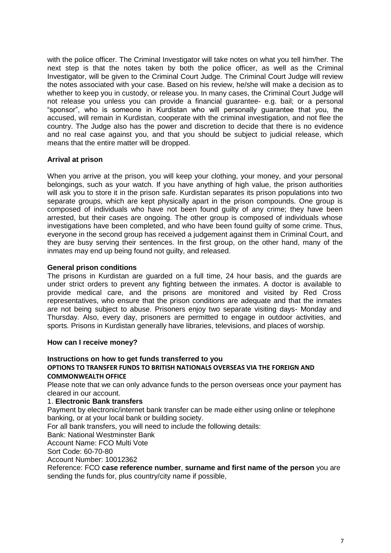with the police officer. The Criminal Investigator will take notes on what you tell him/her. The next step is that the notes taken by both the police officer, as well as the Criminal Investigator, will be given to the Criminal Court Judge. The Criminal Court Judge will review the notes associated with your case. Based on his review, he/she will make a decision as to whether to keep you in custody, or release you. In many cases, the Criminal Court Judge will not release you unless you can provide a financial guarantee- e.g. bail; or a personal "sponsor", who is someone in Kurdistan who will personally guarantee that you, the accused, will remain in Kurdistan, cooperate with the criminal investigation, and not flee the country. The Judge also has the power and discretion to decide that there is no evidence and no real case against you, and that you should be subject to judicial release, which means that the entire matter will be dropped.

## **Arrival at prison**

When you arrive at the prison, you will keep your clothing, your money, and your personal belongings, such as your watch. If you have anything of high value, the prison authorities will ask you to store it in the prison safe. Kurdistan separates its prison populations into two separate groups, which are kept physically apart in the prison compounds. One group is composed of individuals who have not been found guilty of any crime; they have been arrested, but their cases are ongoing. The other group is composed of individuals whose investigations have been completed, and who have been found guilty of some crime. Thus, everyone in the second group has received a judgement against them in Criminal Court, and they are busy serving their sentences. In the first group, on the other hand, many of the inmates may end up being found not guilty, and released.

## **General prison conditions**

The prisons in Kurdistan are guarded on a full time, 24 hour basis, and the guards are under strict orders to prevent any fighting between the inmates. A doctor is available to provide medical care, and the prisons are monitored and visited by Red Cross representatives, who ensure that the prison conditions are adequate and that the inmates are not being subject to abuse. Prisoners enjoy two separate visiting days- Monday and Thursday. Also, every day, prisoners are permitted to engage in outdoor activities, and sports. Prisons in Kurdistan generally have libraries, televisions, and places of worship.

## **How can I receive money?**

#### **Instructions on how to get funds transferred to you OPTIONS TO TRANSFER FUNDS TO BRITISH NATIONALS OVERSEAS VIA THE FOREIGN AND COMMONWEALTH OFFICE**

Please note that we can only advance funds to the person overseas once your payment has cleared in our account.

#### 1. **Electronic Bank transfers**

Payment by electronic/internet bank transfer can be made either using online or telephone banking, or at your local bank or building society.

For all bank transfers, you will need to include the following details:

Bank: National Westminster Bank

Account Name: FCO Multi Vote

Sort Code: 60-70-80

Account Number: 10012362

Reference: FCO **case reference number**, **surname and first name of the person** you are sending the funds for, plus country/city name if possible,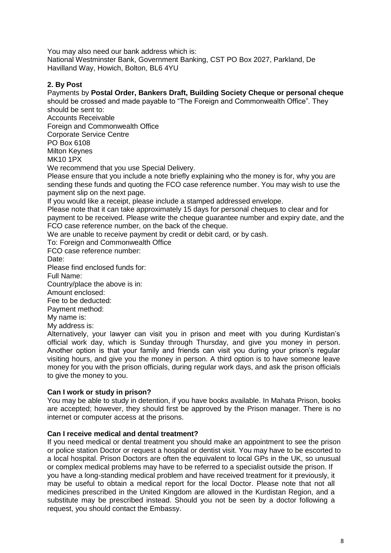You may also need our bank address which is: National Westminster Bank, Government Banking, CST PO Box 2027, Parkland, De Havilland Way, Howich, Bolton, BL6 4YU

## **2. By Post**

# Payments by **Postal Order, Bankers Draft, Building Society Cheque or personal cheque**

should be crossed and made payable to "The Foreign and Commonwealth Office". They should be sent to:

Accounts Receivable

Foreign and Commonwealth Office

Corporate Service Centre PO Box 6108

Milton Keynes

MK10 1PX

We recommend that you use Special Delivery.

Please ensure that you include a note briefly explaining who the money is for, why you are sending these funds and quoting the FCO case reference number. You may wish to use the payment slip on the next page.

If you would like a receipt, please include a stamped addressed envelope.

Please note that it can take approximately 15 days for personal cheques to clear and for payment to be received. Please write the cheque guarantee number and expiry date, and the FCO case reference number, on the back of the cheque.

We are unable to receive payment by credit or debit card, or by cash.

To: Foreign and Commonwealth Office

FCO case reference number:

Date:

Please find enclosed funds for:

Full Name:

Country/place the above is in:

Amount enclosed:

Fee to be deducted:

Payment method:

My name is:

My address is:

Alternatively, your lawyer can visit you in prison and meet with you during Kurdistan's official work day, which is Sunday through Thursday, and give you money in person. Another option is that your family and friends can visit you during your prison's regular visiting hours, and give you the money in person. A third option is to have someone leave money for you with the prison officials, during regular work days, and ask the prison officials to give the money to you.

## **Can I work or study in prison?**

You may be able to study in detention, if you have books available. In Mahata Prison, books are accepted; however, they should first be approved by the Prison manager. There is no internet or computer access at the prisons.

## **Can I receive medical and dental treatment?**

If you need medical or dental treatment you should make an appointment to see the prison or police station Doctor or request a hospital or dentist visit. You may have to be escorted to a local hospital. Prison Doctors are often the equivalent to local GPs in the UK, so unusual or complex medical problems may have to be referred to a specialist outside the prison. If you have a long-standing medical problem and have received treatment for it previously, it may be useful to obtain a medical report for the local Doctor. Please note that not all medicines prescribed in the United Kingdom are allowed in the Kurdistan Region, and a substitute may be prescribed instead. Should you not be seen by a doctor following a request, you should contact the Embassy.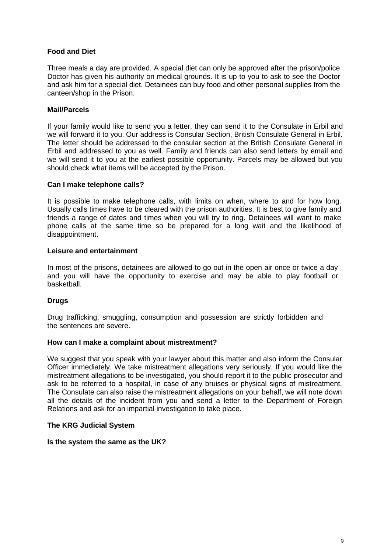## **Food and Diet**

Three meals a day are provided. A special diet can only be approved after the prison/police Doctor has given his authority on medical grounds. It is up to you to ask to see the Doctor and ask him for a special diet. Detainees can buy food and other personal supplies from the canteen/shop in the Prison.

## **Mail/Parcels**

If your family would like to send you a letter, they can send it to the Consulate in Erbil and we will forward it to you. Our address is Consular Section, British Consulate General in Erbil. The letter should be addressed to the consular section at the British Consulate General in Erbil and addressed to you as well. Family and friends can also send letters by email and we will send it to you at the earliest possible opportunity. Parcels may be allowed but you should check what items will be accepted by the Prison.

## **Can I make telephone calls?**

It is possible to make telephone calls, with limits on when, where to and for how long. Usually calls times have to be cleared with the prison authorities. It is best to give family and friends a range of dates and times when you will try to ring. Detainees will want to make phone calls at the same time so be prepared for a long wait and the likelihood of disappointment.

#### **Leisure and entertainment**

In most of the prisons, detainees are allowed to go out in the open air once or twice a day and you will have the opportunity to exercise and may be able to play football or basketball.

## **Drugs**

Drug trafficking, smuggling, consumption and possession are strictly forbidden and the sentences are severe.

## **How can I make a complaint about mistreatment?**

We suggest that you speak with your lawyer about this matter and also inform the Consular Officer immediately. We take mistreatment allegations very seriously. If you would like the mistreatment allegations to be investigated, you should report it to the public prosecutor and ask to be referred to a hospital, in case of any bruises or physical signs of mistreatment. The Consulate can also raise the mistreatment allegations on your behalf, we will note down all the details of the incident from you and send a letter to the Department of Foreign Relations and ask for an impartial investigation to take place.

## **The KRG Judicial System**

#### **Is the system the same as the UK?**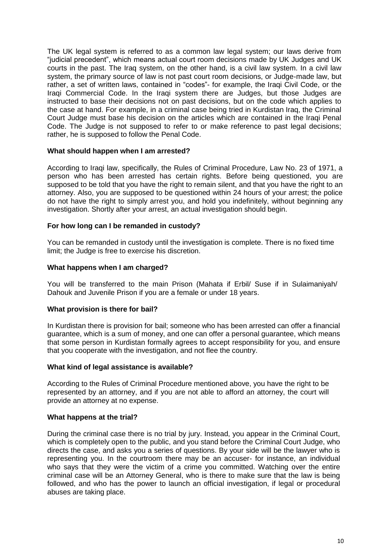The UK legal system is referred to as a common law legal system; our laws derive from "judicial precedent", which means actual court room decisions made by UK Judges and UK courts in the past. The Iraq system, on the other hand, is a civil law system. In a civil law system, the primary source of law is not past court room decisions, or Judge-made law, but rather, a set of written laws, contained in "codes"- for example, the Iraqi Civil Code, or the Iraqi Commercial Code. In the Iraqi system there are Judges, but those Judges are instructed to base their decisions not on past decisions, but on the code which applies to the case at hand. For example, in a criminal case being tried in Kurdistan Iraq, the Criminal Court Judge must base his decision on the articles which are contained in the Iraqi Penal Code. The Judge is not supposed to refer to or make reference to past legal decisions; rather, he is supposed to follow the Penal Code.

#### **What should happen when I am arrested?**

According to Iraqi law, specifically, the Rules of Criminal Procedure, Law No. 23 of 1971, a person who has been arrested has certain rights. Before being questioned, you are supposed to be told that you have the right to remain silent, and that you have the right to an attorney. Also, you are supposed to be questioned within 24 hours of your arrest; the police do not have the right to simply arrest you, and hold you indefinitely, without beginning any investigation. Shortly after your arrest, an actual investigation should begin.

#### **For how long can I be remanded in custody?**

You can be remanded in custody until the investigation is complete. There is no fixed time limit; the Judge is free to exercise his discretion.

#### **What happens when I am charged?**

You will be transferred to the main Prison (Mahata if Erbil/ Suse if in Sulaimaniyah/ Dahouk and Juvenile Prison if you are a female or under 18 years.

#### **What provision is there for bail?**

In Kurdistan there is provision for bail; someone who has been arrested can offer a financial guarantee, which is a sum of money, and one can offer a personal guarantee, which means that some person in Kurdistan formally agrees to accept responsibility for you, and ensure that you cooperate with the investigation, and not flee the country.

#### **What kind of legal assistance is available?**

According to the Rules of Criminal Procedure mentioned above, you have the right to be represented by an attorney, and if you are not able to afford an attorney, the court will provide an attorney at no expense.

#### **What happens at the trial?**

During the criminal case there is no trial by jury. Instead, you appear in the Criminal Court, which is completely open to the public, and you stand before the Criminal Court Judge, who directs the case, and asks you a series of questions. By your side will be the lawyer who is representing you. In the courtroom there may be an accuser- for instance, an individual who says that they were the victim of a crime you committed. Watching over the entire criminal case will be an Attorney General, who is there to make sure that the law is being followed, and who has the power to launch an official investigation, if legal or procedural abuses are taking place.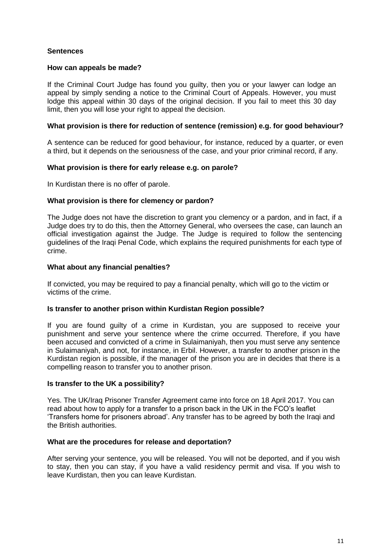## **Sentences**

## **How can appeals be made?**

If the Criminal Court Judge has found you guilty, then you or your lawyer can lodge an appeal by simply sending a notice to the Criminal Court of Appeals. However, you must lodge this appeal within 30 days of the original decision. If you fail to meet this 30 day limit, then you will lose your right to appeal the decision.

#### **What provision is there for reduction of sentence (remission) e.g. for good behaviour?**

A sentence can be reduced for good behaviour, for instance, reduced by a quarter, or even a third, but it depends on the seriousness of the case, and your prior criminal record, if any.

#### **What provision is there for early release e.g. on parole?**

In Kurdistan there is no offer of parole.

#### **What provision is there for clemency or pardon?**

The Judge does not have the discretion to grant you clemency or a pardon, and in fact, if a Judge does try to do this, then the Attorney General, who oversees the case, can launch an official investigation against the Judge. The Judge is required to follow the sentencing guidelines of the Iraqi Penal Code, which explains the required punishments for each type of crime.

## **What about any financial penalties?**

If convicted, you may be required to pay a financial penalty, which will go to the victim or victims of the crime.

#### **Is transfer to another prison within Kurdistan Region possible?**

If you are found guilty of a crime in Kurdistan, you are supposed to receive your punishment and serve your sentence where the crime occurred. Therefore, if you have been accused and convicted of a crime in Sulaimaniyah, then you must serve any sentence in Sulaimaniyah, and not, for instance, in Erbil. However, a transfer to another prison in the Kurdistan region is possible, if the manager of the prison you are in decides that there is a compelling reason to transfer you to another prison.

#### **Is transfer to the UK a possibility?**

Yes. The UK/Iraq Prisoner Transfer Agreement came into force on 18 April 2017. You can read about how to apply for a transfer to a prison back in the UK in the FCO's leaflet ['Transfers home for prisoners abroad'.](https://www.gov.uk/government/uploads/system/uploads/attachment_data/file/292519/FCO_Transfers_Home_0314web.pdf) Any transfer has to be agreed by both the Iraqi and the British authorities.

#### **What are the procedures for release and deportation?**

After serving your sentence, you will be released. You will not be deported, and if you wish to stay, then you can stay, if you have a valid residency permit and visa. If you wish to leave Kurdistan, then you can leave Kurdistan.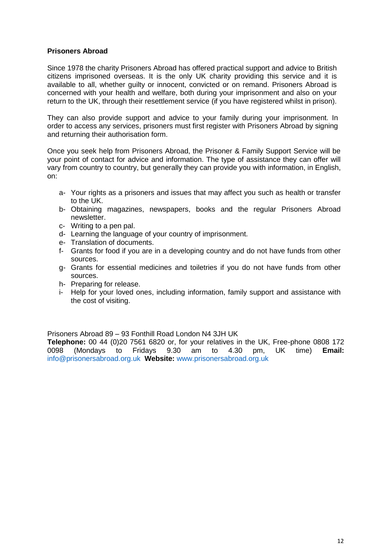## **Prisoners Abroad**

Since 1978 the charity Prisoners Abroad has offered practical support and advice to British citizens imprisoned overseas. It is the only UK charity providing this service and it is available to all, whether guilty or innocent, convicted or on remand. Prisoners Abroad is concerned with your health and welfare, both during your imprisonment and also on your return to the UK, through their resettlement service (if you have registered whilst in prison).

They can also provide support and advice to your family during your imprisonment. In order to access any services, prisoners must first register with Prisoners Abroad by signing and returning their authorisation form.

Once you seek help from Prisoners Abroad, the Prisoner & Family Support Service will be your point of contact for advice and information. The type of assistance they can offer will vary from country to country, but generally they can provide you with information, in English, on:

- a- Your rights as a prisoners and issues that may affect you such as health or transfer to the UK.
- b- Obtaining magazines, newspapers, books and the regular Prisoners Abroad newsletter.
- c- Writing to a pen pal.
- d- Learning the language of your country of imprisonment.
- e- Translation of documents.
- f- Grants for food if you are in a developing country and do not have funds from other sources.
- g- Grants for essential medicines and toiletries if you do not have funds from other sources.
- h- Preparing for release.
- i- Help for your loved ones, including information, family support and assistance with the cost of visiting.

Prisoners Abroad 89 – 93 Fonthill Road London N4 3JH UK

**Telephone:** 00 44 (0)20 7561 6820 or, for your relatives in the UK, Free-phone 0808 172 0098 (Mondays to Fridays 9.30 am to 4.30 pm, UK time) **Email:**  [info@prisonersabroad.org.uk](mailto:info@prisonersabroad.org.uk) **Website:** [www.prisonersabroad.org.uk](http://www.prisonersabroad.org.uk/)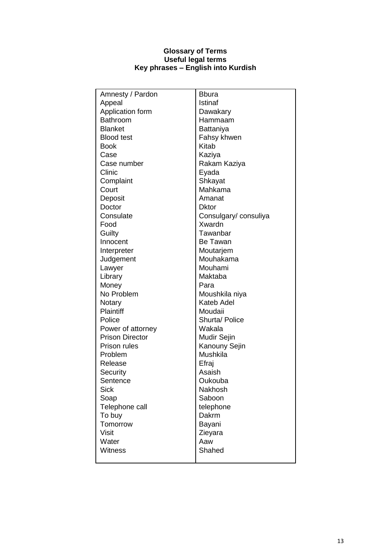#### **Glossary of Terms Useful legal terms Key phrases – English into Kurdish**

| Amnesty / Pardon       | <b>B</b> bura         |
|------------------------|-----------------------|
| Appeal                 | Istinaf               |
| Application form       | Dawakary              |
| <b>Bathroom</b>        | Hammaam               |
| <b>Blanket</b>         | Battaniya             |
| <b>Blood test</b>      | Fahsy khwen           |
| <b>Book</b>            | Kitab                 |
| Case                   | Kaziya                |
| Case number            | Rakam Kaziya          |
| Clinic                 | Eyada                 |
| Complaint              | Shkayat               |
| Court                  | Mahkama               |
| Deposit                | Amanat                |
| Doctor                 | <b>Dktor</b>          |
| Consulate              | Consulgary/ consuliya |
| Food                   | Xwardn                |
| Guilty                 | Tawanbar              |
| Innocent               | Be Tawan              |
| Interpreter            | Moutarjem             |
| Judgement              | Mouhakama             |
| Lawyer                 | Mouhami               |
| Library                | Maktaba               |
| Money                  | Para                  |
| No Problem             | Moushkila niya        |
| Notary                 | Kateb Adel            |
| Plaintiff              | Moudaii               |
| Police                 | Shurta/ Police        |
| Power of attorney      | Wakala                |
| <b>Prison Director</b> | Mudir Sejin           |
| <b>Prison rules</b>    | Kanouny Sejin         |
| Problem                | Mushkila              |
| Release                | Efraj                 |
| Security               | Asaish                |
| Sentence               | Oukouba               |
| <b>Sick</b>            | Nakhosh               |
| Soap                   | Saboon                |
| Telephone call         | telephone             |
| To buy                 | Dakrm                 |
| Tomorrow               | Bayani                |
| <b>Visit</b>           | Zieyara               |
| Water                  | Aaw                   |
| <b>Witness</b>         | Shahed                |
|                        |                       |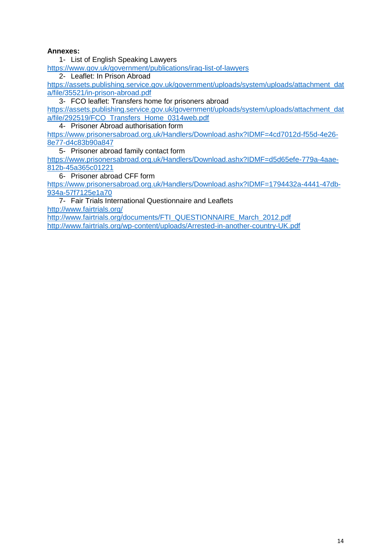## **Annexes:**

1- List of English Speaking Lawyers

<https://www.gov.uk/government/publications/iraq-list-of-lawyers>

2- Leaflet: In Prison Abroad

[https://assets.publishing.service.gov.uk/government/uploads/system/uploads/attachment\\_dat](https://assets.publishing.service.gov.uk/government/uploads/system/uploads/attachment_data/file/35521/in-prison-abroad.pdf) [a/file/35521/in-prison-abroad.pdf](https://assets.publishing.service.gov.uk/government/uploads/system/uploads/attachment_data/file/35521/in-prison-abroad.pdf)

3- FCO leaflet: Transfers home for prisoners abroad

[https://assets.publishing.service.gov.uk/government/uploads/system/uploads/attachment\\_dat](https://assets.publishing.service.gov.uk/government/uploads/system/uploads/attachment_data/file/292519/FCO_Transfers_Home_0314web.pdf) [a/file/292519/FCO\\_Transfers\\_Home\\_0314web.pdf](https://assets.publishing.service.gov.uk/government/uploads/system/uploads/attachment_data/file/292519/FCO_Transfers_Home_0314web.pdf)

4- Prisoner Abroad authorisation form

[https://www.prisonersabroad.org.uk/Handlers/Download.ashx?IDMF=4cd7012d-f55d-4e26-](https://www.prisonersabroad.org.uk/Handlers/Download.ashx?IDMF=4cd7012d-f55d-4e26-8e77-d4c83b90a847) [8e77-d4c83b90a847](https://www.prisonersabroad.org.uk/Handlers/Download.ashx?IDMF=4cd7012d-f55d-4e26-8e77-d4c83b90a847)

5- Prisoner abroad family contact form

[https://www.prisonersabroad.org.uk/Handlers/Download.ashx?IDMF=d5d65efe-779a-4aae-](https://www.prisonersabroad.org.uk/Handlers/Download.ashx?IDMF=d5d65efe-779a-4aae-812b-45a365c01221)[812b-45a365c01221](https://www.prisonersabroad.org.uk/Handlers/Download.ashx?IDMF=d5d65efe-779a-4aae-812b-45a365c01221)

6- Prisoner abroad CFF form

[https://www.prisonersabroad.org.uk/Handlers/Download.ashx?IDMF=1794432a-4441-47db-](https://www.prisonersabroad.org.uk/Handlers/Download.ashx?IDMF=1794432a-4441-47db-934a-57f7125e1a70)[934a-57f7125e1a70](https://www.prisonersabroad.org.uk/Handlers/Download.ashx?IDMF=1794432a-4441-47db-934a-57f7125e1a70)

7- Fair Trials International Questionnaire and Leaflets <http://www.fairtrials.org/> [http://www.fairtrials.org/documents/FTI\\_QUESTIONNAIRE\\_March\\_2012.pdf](http://www.fairtrials.org/documents/FTI_QUESTIONNAIRE_March_2012.pdf)

<http://www.fairtrials.org/wp-content/uploads/Arrested-in-another-country-UK.pdf>